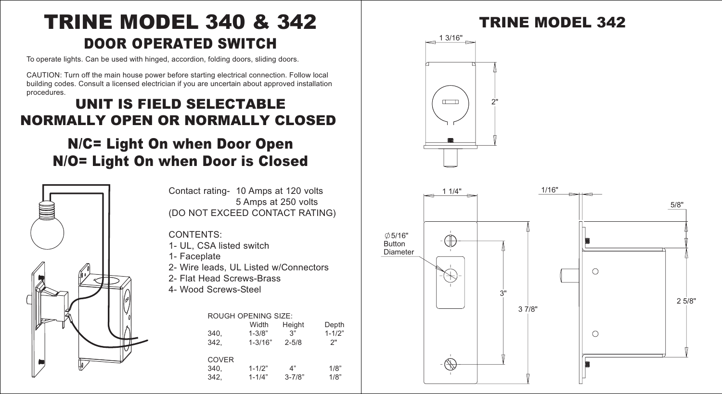# DOOR OPERATED SWITCH TRINE MODEL 340 & 342

To operate lights. Can be used with hinged, accordion, folding doors, sliding doors.

CAUTION: Turn off the main house power before starting electrical connection. Follow local building codes. Consult a licensed electrician if you are uncertain about approved installation procedures.

### UNIT IS FIELD SELECTABLE NORMALLY OPEN OR NORMALLY CLOSED

## N/C= Light On when Door Open N/O= Light On when Door is Closed



Contact rating- 10 Amps at 120 volts 5 Amps at 250 volts (DO NOT EXCEED CONTACT RATING)

### CONTENTS:

- 1- UL, CSA listed switch
- 1- Faceplate
- 2- Wire leads, UL Listed w/Connectors
- 2- Flat Head Screws-Brass
- 4- Wood Screws-Steel

#### ROUGH OPENING SIZE:

| 340.<br>342.                 | Width<br>$1 - 3/8"$<br>$1 - 3/16"$ | Height<br>3"<br>$2 - 5/8$ | Depth<br>$1 - 1/2"$<br>2" |
|------------------------------|------------------------------------|---------------------------|---------------------------|
| <b>COVER</b><br>340.<br>342. | $1 - 1/2"$<br>$1 - 1/4"$           | 4"<br>$3 - 7/8"$          | 1/8"<br>1/8"              |

## TRINE MODEL 342